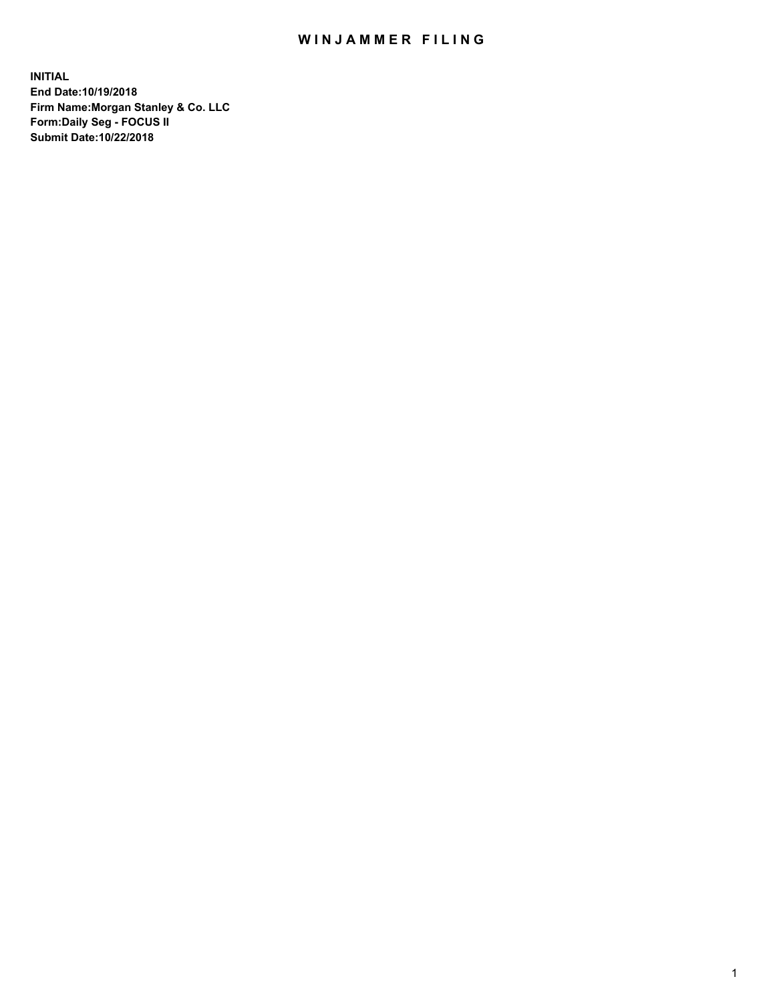## WIN JAMMER FILING

**INITIAL End Date:10/19/2018 Firm Name:Morgan Stanley & Co. LLC Form:Daily Seg - FOCUS II Submit Date:10/22/2018**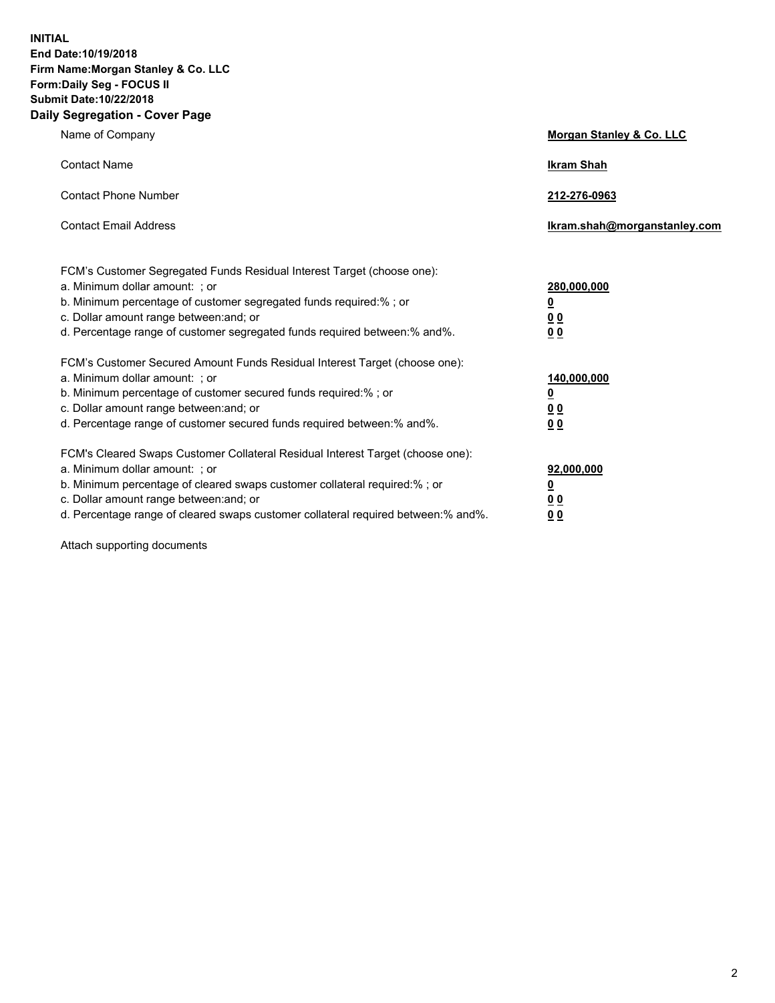**INITIAL End Date:10/19/2018 Firm Name:Morgan Stanley & Co. LLC Form:Daily Seg - FOCUS II Submit Date:10/22/2018 Daily Segregation - Cover Page**

| Name of Company                                                                                                                                                                                                                                                                                                                | Morgan Stanley & Co. LLC                               |
|--------------------------------------------------------------------------------------------------------------------------------------------------------------------------------------------------------------------------------------------------------------------------------------------------------------------------------|--------------------------------------------------------|
| <b>Contact Name</b>                                                                                                                                                                                                                                                                                                            | <b>Ikram Shah</b>                                      |
| <b>Contact Phone Number</b>                                                                                                                                                                                                                                                                                                    | 212-276-0963                                           |
| <b>Contact Email Address</b>                                                                                                                                                                                                                                                                                                   | lkram.shah@morganstanley.com                           |
| FCM's Customer Segregated Funds Residual Interest Target (choose one):<br>a. Minimum dollar amount: : or<br>b. Minimum percentage of customer segregated funds required:% ; or<br>c. Dollar amount range between: and; or<br>d. Percentage range of customer segregated funds required between:% and%.                         | 280,000,000<br><u>0</u><br>00<br>00                    |
| FCM's Customer Secured Amount Funds Residual Interest Target (choose one):<br>a. Minimum dollar amount: ; or<br>b. Minimum percentage of customer secured funds required:%; or<br>c. Dollar amount range between: and; or<br>d. Percentage range of customer secured funds required between:% and%.                            | 140,000,000<br><u>0</u><br><u>00</u><br>0 <sub>0</sub> |
| FCM's Cleared Swaps Customer Collateral Residual Interest Target (choose one):<br>a. Minimum dollar amount: ; or<br>b. Minimum percentage of cleared swaps customer collateral required:% ; or<br>c. Dollar amount range between: and; or<br>d. Percentage range of cleared swaps customer collateral required between:% and%. | 92,000,000<br><u>0</u><br><u>00</u><br>0 <sub>0</sub>  |

Attach supporting documents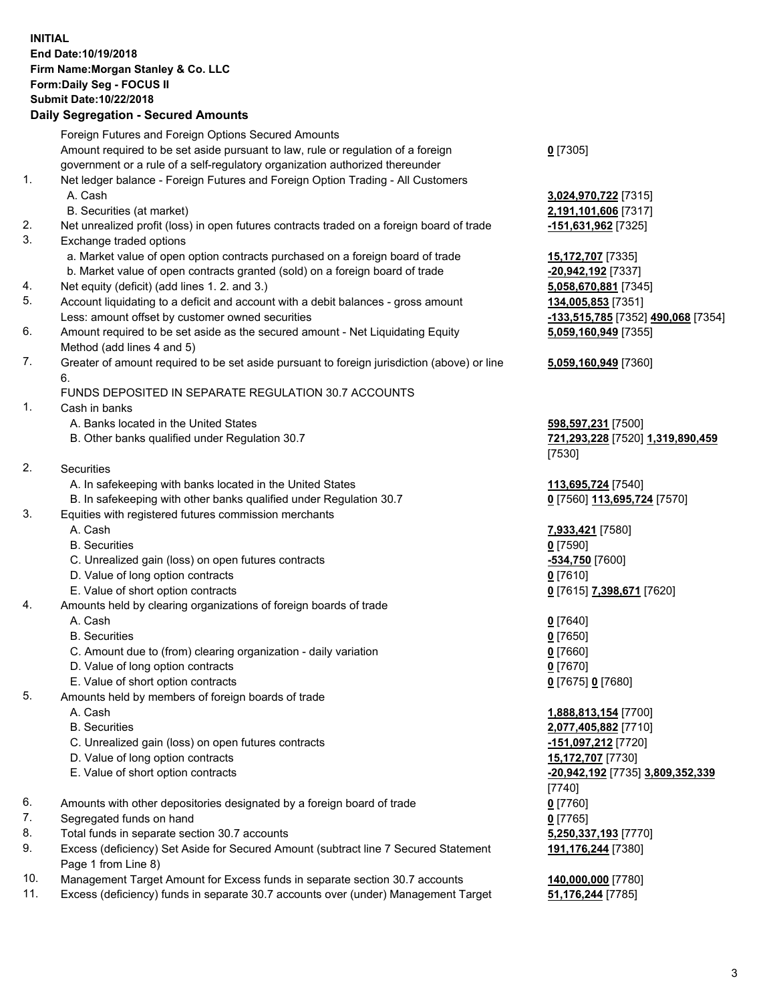## **INITIAL End Date:10/19/2018 Firm Name:Morgan Stanley & Co. LLC Form:Daily Seg - FOCUS II Submit Date:10/22/2018**

## **Daily Segregation - Secured Amounts**

|    | Foreign Futures and Foreign Options Secured Amounts                                                                             |                       |
|----|---------------------------------------------------------------------------------------------------------------------------------|-----------------------|
|    | Amount required to be set aside pursuant to law, rule or regulation of a foreign                                                | $0$ [7305]            |
|    | government or a rule of a self-regulatory organization authorized thereunder                                                    |                       |
| 1. | Net ledger balance - Foreign Futures and Foreign Option Trading - All Customers                                                 |                       |
|    | A. Cash                                                                                                                         | 3,024,970,722 [7315]  |
|    | B. Securities (at market)                                                                                                       | 2,191,101,606 [7317]  |
| 2. | Net unrealized profit (loss) in open futures contracts traded on a foreign board of trade                                       | -151,631,962 [7325]   |
| 3. | Exchange traded options                                                                                                         |                       |
|    | a. Market value of open option contracts purchased on a foreign board of trade                                                  | 15,172,707 [7335]     |
|    | b. Market value of open contracts granted (sold) on a foreign board of trade                                                    | -20,942,192 [7337]    |
| 4. | Net equity (deficit) (add lines 1.2. and 3.)                                                                                    | 5,058,670,881 [7345]  |
| 5. | Account liquidating to a deficit and account with a debit balances - gross amount                                               | 134,005,853 [7351]    |
|    | Less: amount offset by customer owned securities                                                                                | -133,515,785 [7352]   |
| 6. | Amount required to be set aside as the secured amount - Net Liquidating Equity                                                  | 5,059,160,949 [7355]  |
|    | Method (add lines 4 and 5)                                                                                                      |                       |
| 7. | Greater of amount required to be set aside pursuant to foreign jurisdiction (above) or line                                     | 5,059,160,949 [7360]  |
|    | 6.                                                                                                                              |                       |
|    | FUNDS DEPOSITED IN SEPARATE REGULATION 30.7 ACCOUNTS                                                                            |                       |
| 1. | Cash in banks                                                                                                                   |                       |
|    | A. Banks located in the United States                                                                                           | 598,597,231 [7500]    |
|    | B. Other banks qualified under Regulation 30.7                                                                                  | 721,293,228 [7520] 1  |
| 2. |                                                                                                                                 | [7530]                |
|    | Securities                                                                                                                      |                       |
|    | A. In safekeeping with banks located in the United States<br>B. In safekeeping with other banks qualified under Regulation 30.7 | 113,695,724 [7540]    |
| 3. | Equities with registered futures commission merchants                                                                           | 0 [7560] 113,695,724  |
|    | A. Cash                                                                                                                         | 7,933,421 [7580]      |
|    | <b>B.</b> Securities                                                                                                            | $0$ [7590]            |
|    | C. Unrealized gain (loss) on open futures contracts                                                                             | -534,750 [7600]       |
|    | D. Value of long option contracts                                                                                               | $0$ [7610]            |
|    | E. Value of short option contracts                                                                                              | 0 [7615] 7,398,671 [7 |
| 4. | Amounts held by clearing organizations of foreign boards of trade                                                               |                       |
|    | A. Cash                                                                                                                         | $0$ [7640]            |
|    | <b>B.</b> Securities                                                                                                            | $0$ [7650]            |
|    | C. Amount due to (from) clearing organization - daily variation                                                                 | $0$ [7660]            |
|    | D. Value of long option contracts                                                                                               | $0$ [7670]            |
|    | E. Value of short option contracts                                                                                              | 0 [7675] 0 [7680]     |
| 5. | Amounts held by members of foreign boards of trade                                                                              |                       |
|    | A. Cash                                                                                                                         | 1,888,813,154 [7700]  |
|    | <b>B.</b> Securities                                                                                                            | 2,077,405,882 [7710]  |
|    | C. Unrealized gain (loss) on open futures contracts                                                                             | -151,097,212 [7720]   |
|    | D. Value of long option contracts                                                                                               | 15,172,707 [7730]     |
|    | E. Value of short option contracts                                                                                              | -20,942,192 [7735] 3. |
|    |                                                                                                                                 | [7740]                |
| 6. | Amounts with other depositories designated by a foreign board of trade                                                          | $0$ [7760]            |
| 7. | Segregated funds on hand                                                                                                        | $0$ [7765]            |
| 8. | Total funds in separate section 30.7 accounts                                                                                   | 5,250,337,193 [7770]  |
| 9. | Excess (deficiency) Set Aside for Secured Amount (subtract line 7 Secured Statement                                             | 191,176,244 [7380]    |
|    | Page 1 from Line 8)                                                                                                             |                       |
|    |                                                                                                                                 |                       |

- 10. Management Target Amount for Excess funds in separate section 30.7 accounts **140,000,000** [7780]
- 11. Excess (deficiency) funds in separate 30.7 accounts over (under) Management Target **51,176,244** [7785]

Less: amount offset by customer owned securities **-133,515,785** [7352] **490,068** [7354] **5,059,160,949** [7355]

## **5,059,160,949** [7360]

B. Other banks qualified under Regulation 30.7 **721,293,228** [7520] **1,319,890,459**

**895,724** [7570]

E. Value of short option contracts **0** [7615] **7,398,671** [7620]

 E. Value of short option contracts **-20,942,192** [7735] **3,809,352,339 191,176,244** [7380]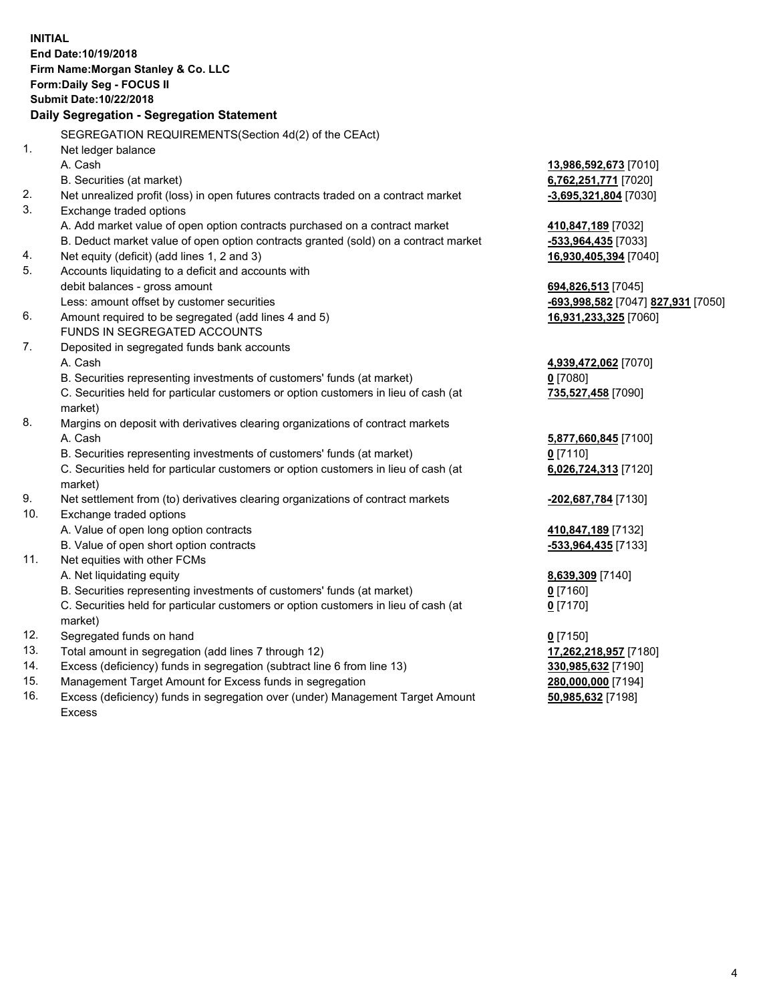|     | <b>INITIAL</b>                                                                            |                                    |
|-----|-------------------------------------------------------------------------------------------|------------------------------------|
|     | End Date: 10/19/2018                                                                      |                                    |
|     | Firm Name: Morgan Stanley & Co. LLC                                                       |                                    |
|     | Form: Daily Seg - FOCUS II                                                                |                                    |
|     | Submit Date: 10/22/2018                                                                   |                                    |
|     | Daily Segregation - Segregation Statement                                                 |                                    |
|     | SEGREGATION REQUIREMENTS(Section 4d(2) of the CEAct)                                      |                                    |
| 1.  | Net ledger balance                                                                        |                                    |
|     | A. Cash                                                                                   | 13,986,592,673 [7010]              |
|     | B. Securities (at market)                                                                 | 6,762,251,771 [7020]               |
| 2.  | Net unrealized profit (loss) in open futures contracts traded on a contract market        | -3,695,321,804 [7030]              |
| 3.  | Exchange traded options                                                                   |                                    |
|     | A. Add market value of open option contracts purchased on a contract market               | 410,847,189 [7032]                 |
|     | B. Deduct market value of open option contracts granted (sold) on a contract market       | -533,964,435 [7033]                |
| 4.  | Net equity (deficit) (add lines 1, 2 and 3)                                               | 16,930,405,394 [7040]              |
| 5.  | Accounts liquidating to a deficit and accounts with                                       |                                    |
|     | debit balances - gross amount                                                             | 694,826,513 [7045]                 |
|     | Less: amount offset by customer securities                                                | -693,998,582 [7047] 827,931 [7050] |
| 6.  | Amount required to be segregated (add lines 4 and 5)                                      | 16,931,233,325 [7060]              |
|     | FUNDS IN SEGREGATED ACCOUNTS                                                              |                                    |
| 7.  | Deposited in segregated funds bank accounts                                               |                                    |
|     | A. Cash                                                                                   | 4,939,472,062 [7070]               |
|     | B. Securities representing investments of customers' funds (at market)                    | $0$ [7080]                         |
|     | C. Securities held for particular customers or option customers in lieu of cash (at       | 735,527,458 [7090]                 |
| 8.  | market)<br>Margins on deposit with derivatives clearing organizations of contract markets |                                    |
|     | A. Cash                                                                                   | 5,877,660,845 [7100]               |
|     | B. Securities representing investments of customers' funds (at market)                    | $0$ [7110]                         |
|     | C. Securities held for particular customers or option customers in lieu of cash (at       | 6,026,724,313 [7120]               |
|     | market)                                                                                   |                                    |
| 9.  | Net settlement from (to) derivatives clearing organizations of contract markets           | -202,687,784 [7130]                |
| 10. | Exchange traded options                                                                   |                                    |
|     | A. Value of open long option contracts                                                    | 410,847,189 [7132]                 |
|     | B. Value of open short option contracts                                                   | -533,964,435 [7133]                |
| 11. | Net equities with other FCMs                                                              |                                    |
|     | A. Net liquidating equity                                                                 | 8,639,309 [7140]                   |
|     | B. Securities representing investments of customers' funds (at market)                    | 0 [7160]                           |
|     | C. Securities held for particular customers or option customers in lieu of cash (at       | $0$ [7170]                         |
|     | market)                                                                                   |                                    |
| 12. | Segregated funds on hand                                                                  | $0$ [7150]                         |
| 13. | Total amount in segregation (add lines 7 through 12)                                      | 17,262,218,957 [7180]              |
| 14. | Excess (deficiency) funds in segregation (subtract line 6 from line 13)                   | 330,985,632 [7190]                 |
| 15. | Management Target Amount for Excess funds in segregation                                  | 280,000,000 [7194]                 |

16. Excess (deficiency) funds in segregation over (under) Management Target Amount Excess

**50,985,632** [7198]